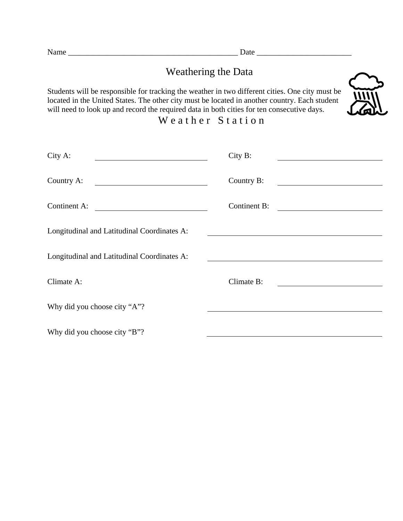## Weathering the Data

Students will be responsible for tracking the weather in two different cities. One city must be located in the United States. The other city must be located in another country. Each student will need to look up and record the required data in both cities for ten consecutive days.



## Weather Station

| City A:                                                                                                                              | City B:                                                                                                                                     |
|--------------------------------------------------------------------------------------------------------------------------------------|---------------------------------------------------------------------------------------------------------------------------------------------|
| Country A:<br><u> 1989 - Andrea Andrew Maria (h. 1989).</u>                                                                          | Country B:                                                                                                                                  |
| Continent A:<br><u> 1980 - Jan Stein Stein Stein Stein Stein Stein Stein Stein Stein Stein Stein Stein Stein Stein Stein Stein S</u> | <b>Continent B:</b><br><u> 1980 - Jan Barbara Barat, prima popular popular popular popular popular popular popular popular popular popu</u> |
| Longitudinal and Latitudinal Coordinates A:                                                                                          |                                                                                                                                             |
| Longitudinal and Latitudinal Coordinates A:                                                                                          |                                                                                                                                             |
| Climate A:                                                                                                                           | Climate B:                                                                                                                                  |
| Why did you choose city "A"?                                                                                                         |                                                                                                                                             |
| Why did you choose city "B"?                                                                                                         |                                                                                                                                             |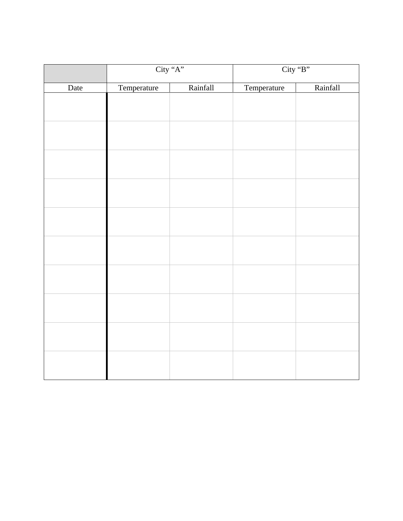|      | City "A"    |          | City "B"    |          |
|------|-------------|----------|-------------|----------|
| Date | Temperature | Rainfall | Temperature | Rainfall |
|      |             |          |             |          |
|      |             |          |             |          |
|      |             |          |             |          |
|      |             |          |             |          |
|      |             |          |             |          |
|      |             |          |             |          |
|      |             |          |             |          |
|      |             |          |             |          |
|      |             |          |             |          |
|      |             |          |             |          |
|      |             |          |             |          |
|      |             |          |             |          |
|      |             |          |             |          |
|      |             |          |             |          |
|      |             |          |             |          |
|      |             |          |             |          |
|      |             |          |             |          |
|      |             |          |             |          |
|      |             |          |             |          |
|      |             |          |             |          |
|      |             |          |             |          |
|      |             |          |             |          |
|      |             |          |             |          |
|      |             |          |             |          |
|      |             |          |             |          |
|      |             |          |             |          |